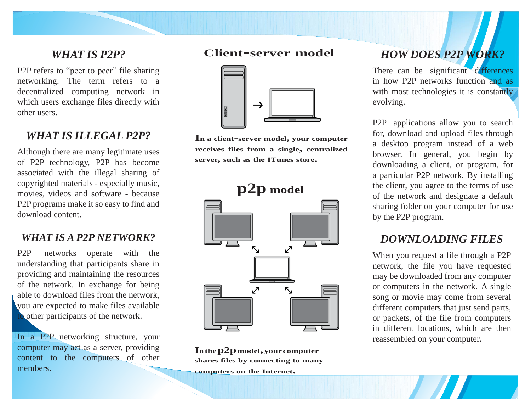#### *WHAT IS P2P?*

P2P refers to "peer to peer" file sharing networking. The term refers to a decentralized computing network in which users exchange files directly with other users.

## *WHAT IS ILLEGAL P2P?*

Although there are many legitimate uses of P2P technology, P2P has become associated with the illegal sharing of copyrighted materials - especially music, movies, videos and software - because P2P programs make it so easy to find and download content.

#### *WHAT IS A P2P NETWORK?*

P2P networks operate with the understanding that participants share in providing and maintaining the resources of the network. In exchange for being able to download files from the network, you are expected to make files available to other participants of the network.

In a P2P networking structure, your computer may act as a server, providing content to the computers of other members.

#### **Client-server model**



**I<sup>n</sup> <sup>a</sup> client-server model, your computer receives files from <sup>a</sup> single, centralized server, such as the ITunes store.**



**Inthep2pmodel, your computer shares files by connecting to many**

**computers on the Internet.**

# *HOW DOES P2P WORK?*

There can be significant differences in how P2P networks function and as with most technologies it is constantly evolving.

P2P applications allow you to search for, download and upload files through a desktop program instead of a web browser. In general, you begin by downloading a client, or program, for a particular P2P network. By installing the client, you agree to the terms of use of the network and designate a default sharing folder on your computer for use by the P2P program.

#### *DOWNLOADING FILES*

When you request a file through a P2P network, the file you have requested may be downloaded from any computer or computers in the network. A single song or movie may come from several different computers that just send parts, or packets, of the file from computers in different locations, which are then reassembled on your computer.